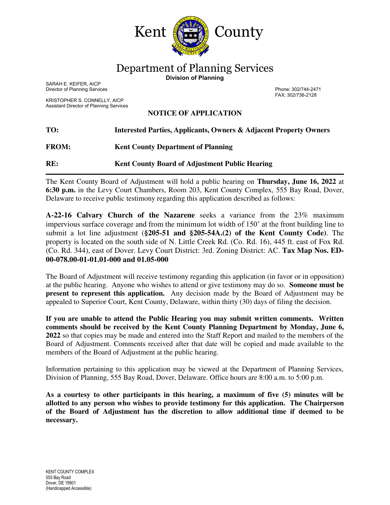

Department of Planning Services

**Division of Planning** 

SARAH E. KEIFER, AICP Director of Planning Services Phone: 302/744-2471

KRISTOPHER S. CONNELLY, AICP Assistant Director of Planning Services FAX: 302/736-2128

## **NOTICE OF APPLICATION**

| TO:          | <b>Interested Parties, Applicants, Owners &amp; Adjacent Property Owners</b> |
|--------------|------------------------------------------------------------------------------|
| <b>FROM:</b> | <b>Kent County Department of Planning</b>                                    |
| RE:          | <b>Kent County Board of Adjustment Public Hearing</b>                        |

The Kent County Board of Adjustment will hold a public hearing on **Thursday, June 16, 2022** at **6:30 p.m.** in the Levy Court Chambers, Room 203, Kent County Complex, 555 Bay Road, Dover, Delaware to receive public testimony regarding this application described as follows:

**A-22-16 Calvary Church of the Nazarene** seeks a variance from the 23% maximum impervious surface coverage and from the minimum lot width of 150' at the front building line to submit a lot line adjustment (**§205-51 and §205-54A.(2) of the Kent County Code)**. The property is located on the south side of N. Little Creek Rd. (Co. Rd. 16), 445 ft. east of Fox Rd. (Co. Rd. 344), east of Dover. Levy Court District: 3rd. Zoning District: AC. **Tax Map Nos. ED-00-078.00-01-01.01-000 and 01.05-000**

The Board of Adjustment will receive testimony regarding this application (in favor or in opposition) at the public hearing. Anyone who wishes to attend or give testimony may do so. **Someone must be present to represent this application.** Any decision made by the Board of Adjustment may be appealed to Superior Court, Kent County, Delaware, within thirty (30) days of filing the decision.

**If you are unable to attend the Public Hearing you may submit written comments. Written comments should be received by the Kent County Planning Department by Monday, June 6, 2022** so that copies may be made and entered into the Staff Report and mailed to the members of the Board of Adjustment. Comments received after that date will be copied and made available to the members of the Board of Adjustment at the public hearing.

Information pertaining to this application may be viewed at the Department of Planning Services, Division of Planning, 555 Bay Road, Dover, Delaware. Office hours are 8:00 a.m. to 5:00 p.m.

**As a courtesy to other participants in this hearing, a maximum of five (5) minutes will be allotted to any person who wishes to provide testimony for this application. The Chairperson of the Board of Adjustment has the discretion to allow additional time if deemed to be necessary.**